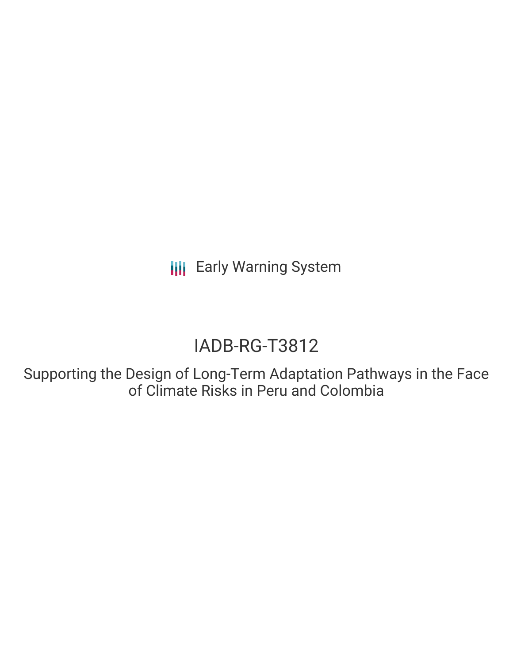**III** Early Warning System

# IADB-RG-T3812

Supporting the Design of Long-Term Adaptation Pathways in the Face of Climate Risks in Peru and Colombia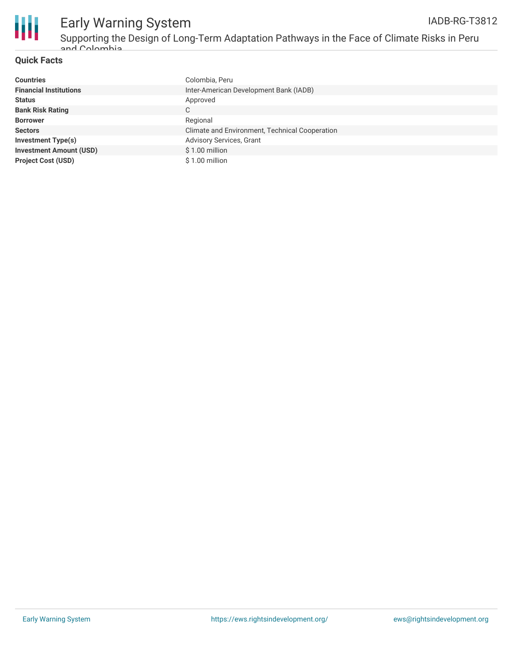

### **Quick Facts**

| <b>Countries</b>               | Colombia, Peru                                 |
|--------------------------------|------------------------------------------------|
| <b>Financial Institutions</b>  | Inter-American Development Bank (IADB)         |
| <b>Status</b>                  | Approved                                       |
| <b>Bank Risk Rating</b>        | C                                              |
| <b>Borrower</b>                | Regional                                       |
| <b>Sectors</b>                 | Climate and Environment, Technical Cooperation |
| Investment Type(s)             | <b>Advisory Services, Grant</b>                |
| <b>Investment Amount (USD)</b> | \$1.00 million                                 |
| <b>Project Cost (USD)</b>      | \$1.00 million                                 |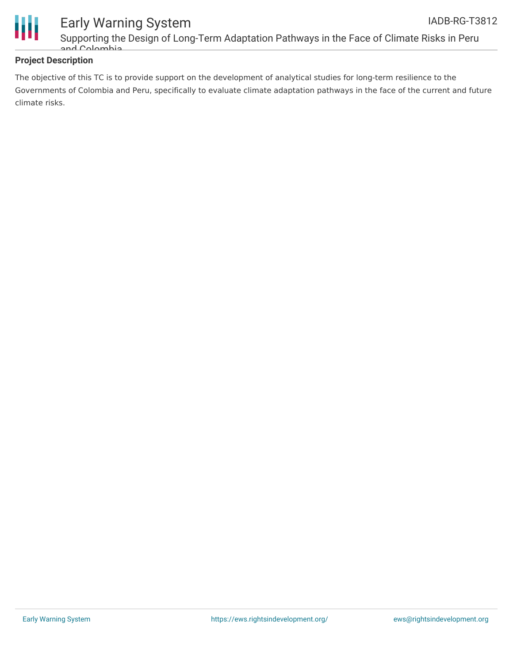

### **Project Description**

The objective of this TC is to provide support on the development of analytical studies for long-term resilience to the Governments of Colombia and Peru, specifically to evaluate climate adaptation pathways in the face of the current and future climate risks.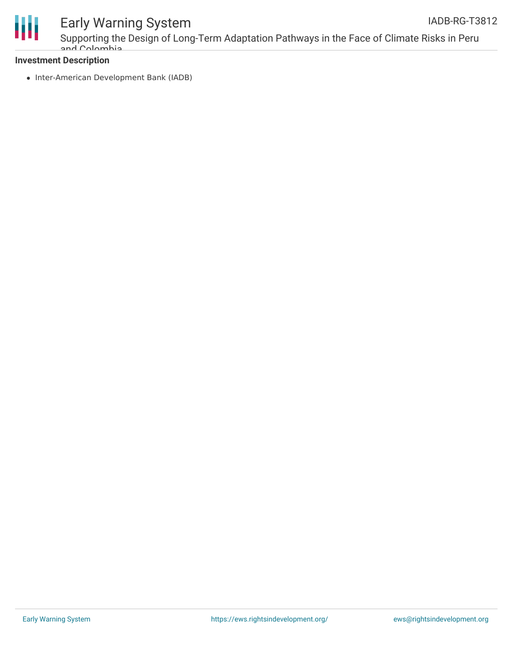

## Early Warning System

Supporting the Design of Long-Term Adaptation Pathways in the Face of Climate Risks in Peru and Colombia

### **Investment Description**

• Inter-American Development Bank (IADB)